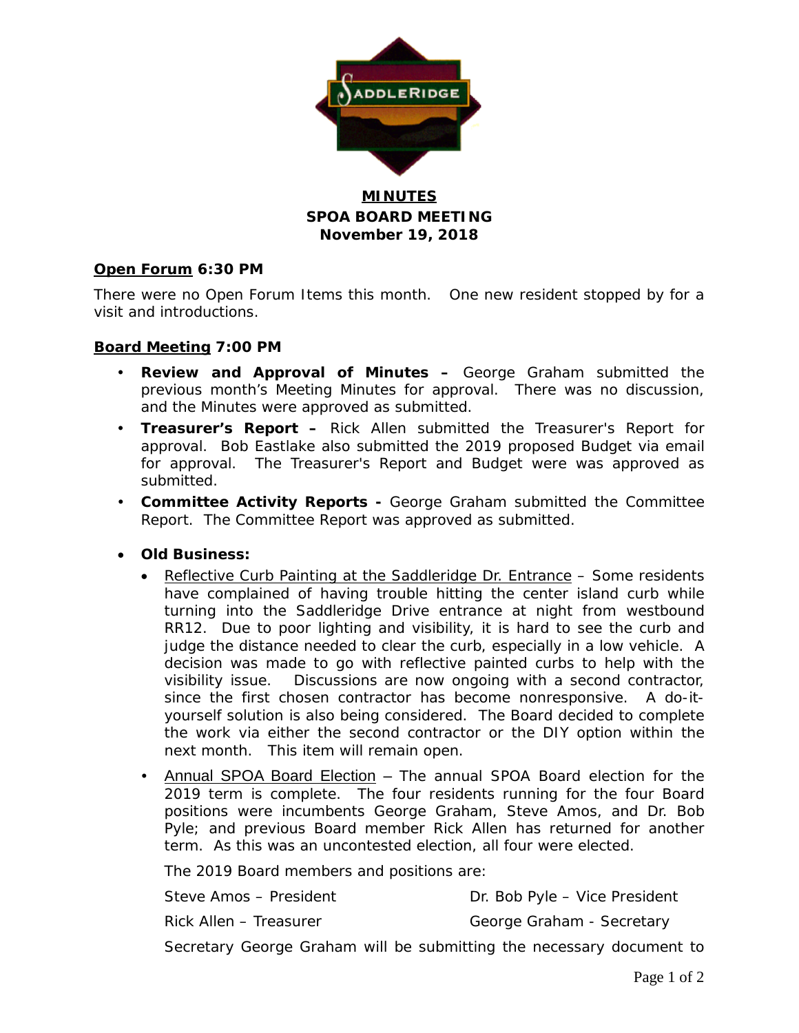

## **MINUTES SPOA BOARD MEETING November 19, 2018**

### **Open Forum 6:30 PM**

There were no Open Forum Items this month. One new resident stopped by for a visit and introductions.

#### **Board Meeting 7:00 PM**

- **Review and Approval of Minutes –** George Graham submitted the previous month's Meeting Minutes for approval. There was no discussion, and the Minutes were approved as submitted.
- **Treasurer's Report –** Rick Allen submitted the Treasurer's Report for approval. Bob Eastlake also submitted the 2019 proposed Budget via email for approval. The Treasurer's Report and Budget were was approved as submitted.
- **Committee Activity Reports -** George Graham submitted the Committee Report. The Committee Report was approved as submitted.
- **Old Business:**
	- Reflective Curb Painting at the Saddleridge Dr. Entrance Some residents have complained of having trouble hitting the center island curb while turning into the Saddleridge Drive entrance at night from westbound RR12. Due to poor lighting and visibility, it is hard to see the curb and judge the distance needed to clear the curb, especially in a low vehicle. A decision was made to go with reflective painted curbs to help with the visibility issue. Discussions are now ongoing with a second contractor, since the first chosen contractor has become nonresponsive. A do-ityourself solution is also being considered. The Board decided to complete the work via either the second contractor or the DIY option within the next month. This item will remain open.
	- Annual SPOA Board Election The annual SPOA Board election for the 2019 term is complete. The four residents running for the four Board positions were incumbents George Graham, Steve Amos, and Dr. Bob Pyle; and previous Board member Rick Allen has returned for another term. As this was an uncontested election, all four were elected.

The 2019 Board members and positions are:

| Steve Amos - President | Dr. Bob Pyle - Vice President |  |  |  |  |
|------------------------|-------------------------------|--|--|--|--|
| Rick Allen – Treasurer | George Graham - Secretary     |  |  |  |  |
|                        |                               |  |  |  |  |

Secretary George Graham will be submitting the necessary document to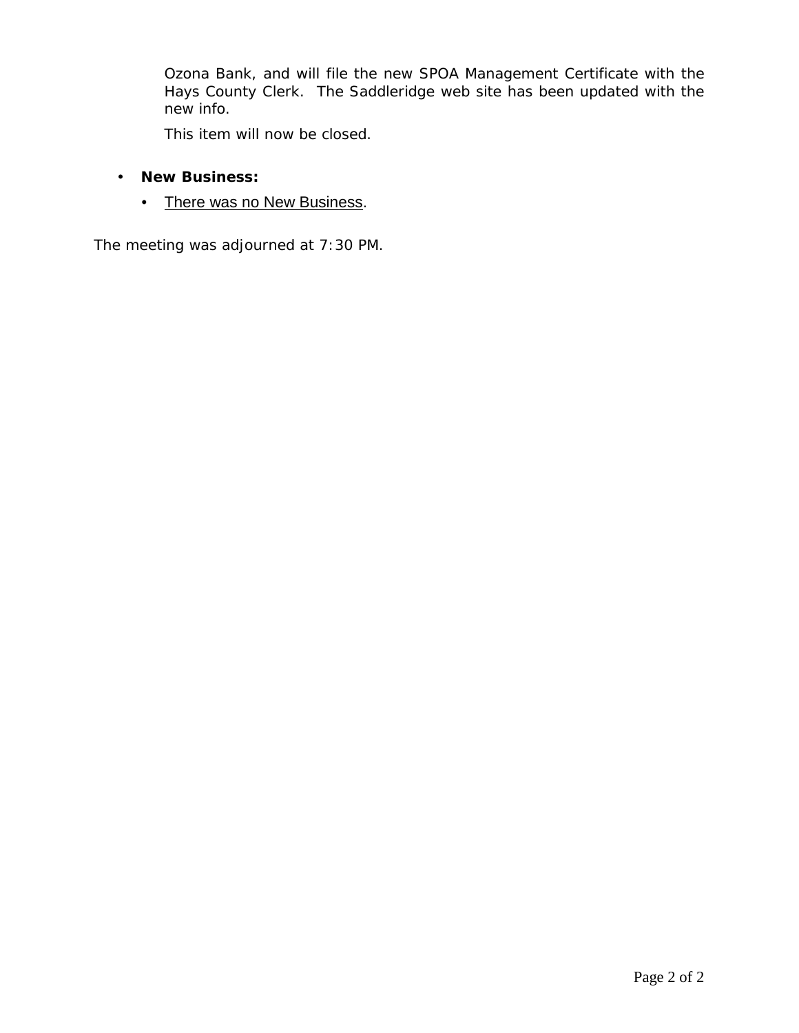Ozona Bank, and will file the new SPOA Management Certificate with the Hays County Clerk. The Saddleridge web site has been updated with the new info.

This item will now be closed.

- **New Business:**
	- There was no New Business.

The meeting was adjourned at 7:30 PM.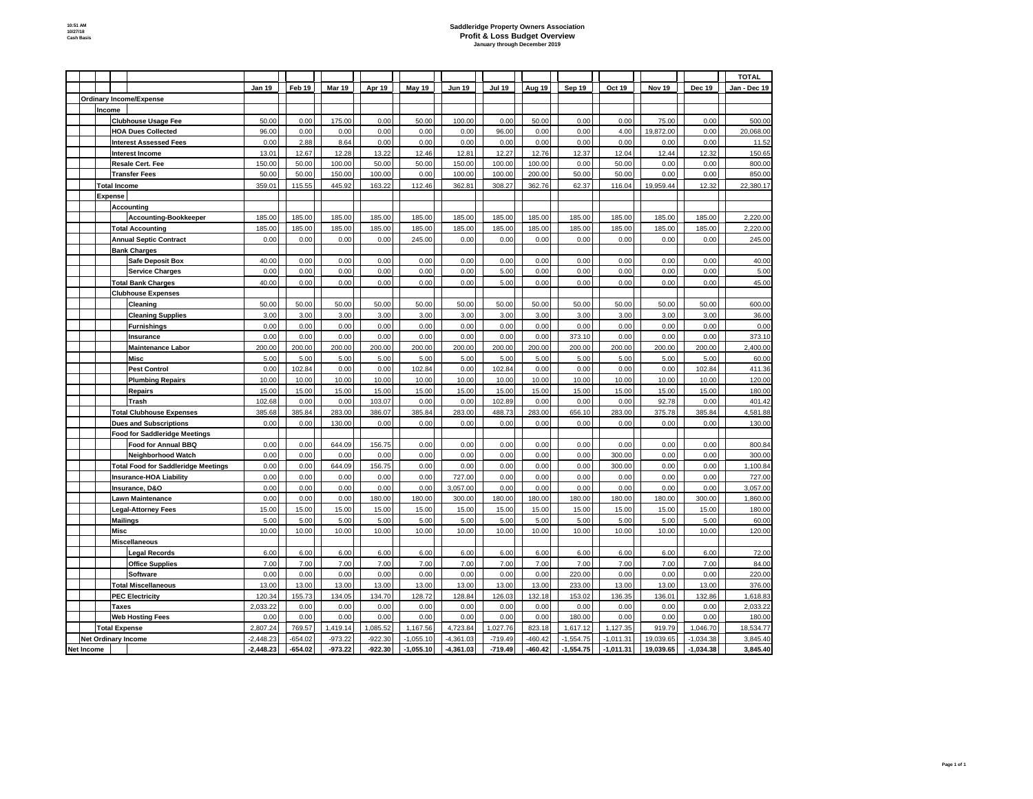## **Saddleridge Property Owners Association Profit & Loss Budget Overview January through December 2019**

|            |                                |                      |                                            |                    |                |                |                 |                 |                 |                 |                 |                |                |                |                 | <b>TOTAL</b>         |
|------------|--------------------------------|----------------------|--------------------------------------------|--------------------|----------------|----------------|-----------------|-----------------|-----------------|-----------------|-----------------|----------------|----------------|----------------|-----------------|----------------------|
|            |                                |                      |                                            | Jan 19             | Feb 19         | <b>Mar 19</b>  | Apr 19          | May 19          | <b>Jun 19</b>   | <b>Jul 19</b>   | Aug 19          | Sep 19         | Oct 19         | Nov 19         | Dec 19          | Jan - Dec 19         |
|            | <b>Ordinary Income/Expense</b> |                      |                                            |                    |                |                |                 |                 |                 |                 |                 |                |                |                |                 |                      |
|            | Income                         |                      |                                            |                    |                |                |                 |                 |                 |                 |                 |                |                |                |                 |                      |
|            |                                |                      | <b>Clubhouse Usage Fee</b>                 | 50.00              | 0.00           | 175.00         | 0.00            | 50.00           | 100.00          | 0.00            | 50.00           | 0.00           | 0.00           | 75.00          | 0.00            | 500.00               |
|            |                                |                      | <b>HOA Dues Collected</b>                  | 96.00              | 0.00           | 0.00           | 0.00            | 0.00            | 0.00            | 96.00           | 0.00            | 0.00           | 4.00           | 19,872.00      | 0.00            | 20,068.00            |
|            |                                |                      | <b>Interest Assessed Fees</b>              | 0.00               | 2.88           | 8.64           | 0.00            | 0.00            | 0.00            | 0.00            | 0.00            | 0.00           | 0.00           | 0.00           | 0.00            | 11.52                |
|            |                                |                      | <b>Interest Income</b>                     | 13.01              | 12.67          | 12.28          | 13.22           | 12.46           | 12.81           | 12.27           | 12.76           | 12.37          | 12.04          | 12.44          | 12.32           | 150.65               |
|            |                                |                      | Resale Cert. Fee                           | 150.00             | 50.00          | 100.00         | 50.00           | 50.00           | 150.00          | 100.00          | 100.00          | 0.00           | 50.00          | 0.00           | 0.00            | 800.00               |
|            |                                |                      | <b>Transfer Fees</b>                       | 50.00              | 50.00          | 150.00         | 100.00          | 0.00            | 100.00          | 100.00          | 200.00          | 50.00          | 50.00          | 0.00           | 0.00            | 850.00               |
|            |                                | <b>Total Income</b>  |                                            | 359.01             | 115.55         | 445.92         | 163.22          | 112.46          | 362.81          | 308.27          | 362.76          | 62.37          | 116.04         | 19,959.44      | 12.32           | 22,380.17            |
|            |                                | <b>Expense</b>       |                                            |                    |                |                |                 |                 |                 |                 |                 |                |                |                |                 |                      |
|            |                                |                      | Accounting                                 |                    |                |                |                 |                 |                 |                 |                 |                |                |                |                 |                      |
|            |                                |                      | <b>Accounting-Bookkeeper</b>               | 185.00             | 185.00         | 185.00         | 185.00          | 185.00          | 185.00          | 185.00          | 185.00          | 185.00         | 185.00         | 185.00         | 185.00          | 2,220.00             |
|            |                                |                      | <b>Total Accounting</b>                    | 185.00             | 185.00         | 185.00         | 185.00          | 185.00          | 185.00          | 185.00          | 185.00          | 185.00         | 185.00         | 185.00         | 185.00          | 2,220.00             |
|            |                                |                      | <b>Annual Septic Contract</b>              | 0.00               | 0.00           | 0.00           | 0.00            | 245.00          | 0.00            | 0.00            | 0.00            | 0.00           | 0.00           | 0.00           | 0.00            | 245.00               |
|            |                                |                      | <b>Bank Charges</b>                        |                    |                |                |                 |                 |                 |                 |                 |                |                |                |                 |                      |
|            |                                |                      | Safe Deposit Box                           | 40.00              | 0.00           | 0.00           | 0.00            | 0.00            | 0.00            | 0.00            | 0.00            | 0.00           | 0.00           | 0.00           | 0.00            | 40.00                |
|            |                                |                      | <b>Service Charges</b>                     | 0.00               | 0.00           | 0.00           | 0.00            | 0.00            | 0.00            | 5.00            | 0.00            | 0.00           | 0.00           | 0.00           | 0.00            | 5.00                 |
|            |                                |                      | <b>Total Bank Charges</b>                  | 40.00              | 0.00           | 0.00           | 0.00            | 0.00            | 0.00            | 5.00            | 0.00            | 0.00           | 0.00           | 0.00           | 0.00            | 45.00                |
|            |                                |                      | <b>Clubhouse Expenses</b>                  |                    |                |                |                 |                 |                 |                 |                 |                |                |                |                 |                      |
|            |                                |                      | Cleaning                                   | 50.00              | 50.00          | 50.00          | 50.00           | 50.00           | 50.00           | 50.00           | 50.00           | 50.00          | 50.00          | 50.00          | 50.00           | 600.00               |
|            |                                |                      | <b>Cleaning Supplies</b>                   | 3.00               | 3.00           | 3.00           | 3.00            | 3.00            | 3.00            | 3.00            | 3.00            | 3.00           | 3.00           | 3.00           | 3.00            | 36.00                |
|            |                                |                      | <b>Furnishings</b>                         | 0.00               | 0.00           | 0.00           | 0.00            | 0.00            | 0.00            | 0.00            | 0.00            | 0.00           | 0.00           | 0.00           | 0.00            | 0.00                 |
|            |                                |                      | Insurance                                  | 0.00               | 0.00           | 0.00           | 0.00            | 0.00            | 0.00            | 0.00            | 0.00            | 373.10         | 0.00           | 0.00           | 0.00            | 373.10               |
|            |                                |                      | <b>Maintenance Labor</b>                   | 200.00             | 200.00         | 200.00         | 200.00          | 200.00          | 200.00          | 200.00          | 200.00          | 200.00         | 200.00         | 200.00         | 200.00          | 2,400.00             |
|            |                                |                      | Misc                                       | 5.00               | 5.00           | 5.00           | 5.00            | 5.00            | 5.00            | 5.00            | 5.00            | 5.00           | 5.00           | 5.00           | 5.00            | 60.00                |
|            |                                |                      | <b>Pest Control</b>                        | 0.00               | 102.84         | 0.00           | 0.00            | 102.84          | 0.00            | 102.84          | 0.00            | 0.00           | 0.00           | 0.00           | 102.84          | 411.36               |
|            |                                |                      | <b>Plumbing Repairs</b>                    | 10.00              | 10.00          | 10.00          | 10.00           | 10.00           | 10.00           | 10.00           | 10.00           | 10.00          | 10.00          | 10.00          | 10.00           | 120.00               |
|            |                                |                      | <b>Repairs</b>                             | 15.00              | 15.00          | 15.00          | 15.00           | 15.00           | 15.00           | 15.00           | 15.00           | 15.00          | 15.00          | 15.00          | 15.00           | 180.00               |
|            |                                |                      | <b>Trash</b>                               | 102.68             | 0.00           | 0.00           | 103.07          | 0.00            | 0.00            | 102.89          | 0.00            | 0.00           | 0.00           | 92.78          | 0.00            | 401.42               |
|            |                                |                      | <b>Total Clubhouse Expenses</b>            | 385.68             | 385.84         | 283.00         | 386.07          | 385.84          | 283.00          | 488.73          | 283.00          | 656.10         | 283.00         | 375.78         | 385.84          | 4,581.88             |
|            |                                |                      | <b>Dues and Subscriptions</b>              | 0.00               | 0.00           | 130.00         | 0.00            | 0.00            | 0.00            | 0.00            | 0.00            | 0.00           | 0.00           | 0.00           | 0.00            | 130.00               |
|            |                                |                      | <b>Food for Saddleridge Meetings</b>       |                    |                |                |                 |                 |                 |                 |                 |                |                |                |                 |                      |
|            |                                |                      | Food for Annual BBQ                        | 0.00               | 0.00           | 644.09         | 156.75          | 0.00            | 0.00            | 0.00            | 0.00            | 0.00           | 0.00           | 0.00           | 0.00            | 800.84               |
|            |                                |                      | <b>Neighborhood Watch</b>                  | 0.00               | 0.00           | 0.00           | 0.00            | 0.00            | 0.00            | 0.00            | 0.00            | 0.00           | 300.00         | 0.00           | 0.00            | 300.00               |
|            |                                |                      | <b>Total Food for Saddleridge Meetings</b> | 0.00               | 0.00           | 644.09         | 156.75          | 0.00            | 0.00            | 0.00            | 0.00            | 0.00           | 300.00         | 0.00           | 0.00            | 1,100.84             |
|            |                                |                      | <b>Insurance-HOA Liability</b>             | 0.00               | 0.00           | 0.00           | 0.00            | 0.00            | 727.00          | 0.00            | 0.00            | 0.00           | 0.00           | 0.00           | 0.00            | 727.00               |
|            |                                |                      | Insurance, D&O                             | 0.00               | 0.00           | 0.00           | 0.00            | 0.00            | 3,057.00        | 0.00            | 0.00            | 0.00           | 0.00           | 0.00           | 0.00            | 3,057.00             |
|            |                                |                      | <b>Lawn Maintenance</b>                    | 0.00               | 0.00           | 0.00           | 180.00          | 180.00          | 300.00          | 180.00          | 180.00          | 180.00         | 180.00         | 180.00         | 300.00          | 1,860.00             |
|            |                                |                      | <b>Legal-Attorney Fees</b>                 | 15.00              | 15.00          | 15.00          | 15.00           | 15.00           | 15.00           | 15.00           | 15.00           | 15.00          | 15.00          | 15.00          | 15.00           | 180.00               |
|            |                                | <b>Mailings</b>      |                                            | 5.00               | 5.00           | 5.00           | 5.00            | 5.00            | 5.00            | 5.00            | 5.00            | 5.00           | 5.00           | 5.00           | 5.00            | 60.00                |
|            |                                | Misc                 |                                            | 10.00              | 10.00          | 10.00          | 10.00           | 10.00           | 10.00           | 10.00           | 10.00           | 10.00          | 10.00          | 10.00          | 10.00           | 120.00               |
|            |                                |                      | <b>Miscellaneous</b>                       |                    |                |                |                 |                 |                 |                 |                 |                |                |                |                 |                      |
|            |                                |                      | <b>Legal Records</b>                       | 6.00               | 6.00           | 6.00           | 6.00            | 6.00            | 6.00            | 6.00            | 6.00            | 6.00           | 6.00           | 6.00           | 6.00            | 72.00                |
|            |                                |                      | <b>Office Supplies</b>                     | 7.00               | 7.00           | 7.00           | 7.00            | 7.00            | 7.00            | 7.00            | 7.00            | 7.00           | 7.00           | 7.00           | 7.00            | 84.00                |
|            |                                |                      | Software                                   | 0.00               | 0.00           | 0.00           | 0.00            | 0.00            | 0.00            | 0.00            | 0.00            | 220.00         | 0.00           | 0.00           | 0.00            | 220.00               |
|            |                                |                      | <b>Total Miscellaneous</b>                 | 13.00              | 13.00          | 13.00          | 13.00<br>134.70 | 13.00<br>128.72 | 13.00<br>128.84 | 13.00<br>126.03 | 13.00<br>132.18 | 233.00         | 13.00          | 13.00          | 13.00<br>132.86 | 376.00               |
|            |                                | <b>Taxes</b>         | <b>PEC Electricity</b>                     | 120.34<br>2,033.22 | 155.73<br>0.00 | 134.05<br>0.00 | 0.00            | 0.00            | 0.00            | 0.00            | 0.00            | 153.02<br>0.00 | 136.35<br>0.00 | 136.01<br>0.00 | 0.00            | 1,618.83<br>2,033.22 |
|            |                                |                      | <b>Web Hosting Fees</b>                    | 0.00               | 0.00           | 0.00           | 0.00            | 0.00            | 0.00            | 0.00            | 0.00            | 180.00         | 0.00           | 0.00           | 0.00            | 180.00               |
|            |                                | <b>Total Expense</b> |                                            | 2,807.24           | 769.57         | 1,419.14       | 1,085.52        | 1,167.56        | 4,723.84        | 1,027.76        | 823.18          | 1,617.12       | 1,127.35       | 919.79         | 1,046.70        | 18,534.77            |
|            | <b>Net Ordinary Income</b>     |                      |                                            | $-2,448.23$        | $-654.02$      | $-973.22$      | $-922.30$       | $-1,055.10$     | $-4,361.03$     | $-719.49$       | $-460.42$       | $-1,554.75$    | $-1,011.31$    | 19,039.65      | $-1,034.38$     | 3,845.40             |
| Net Income |                                |                      |                                            | $-2,448.23$        | $-654.02$      | $-973.22$      | $-922.30$       | $-1,055.10$     | $-4,361.03$     | $-719.49$       | 460.42          | $-1,554.75$    | $-1,011.31$    | 19,039.65      | $-1,034.38$     | 3,845.40             |
|            |                                |                      |                                            |                    |                |                |                 |                 |                 |                 |                 |                |                |                |                 |                      |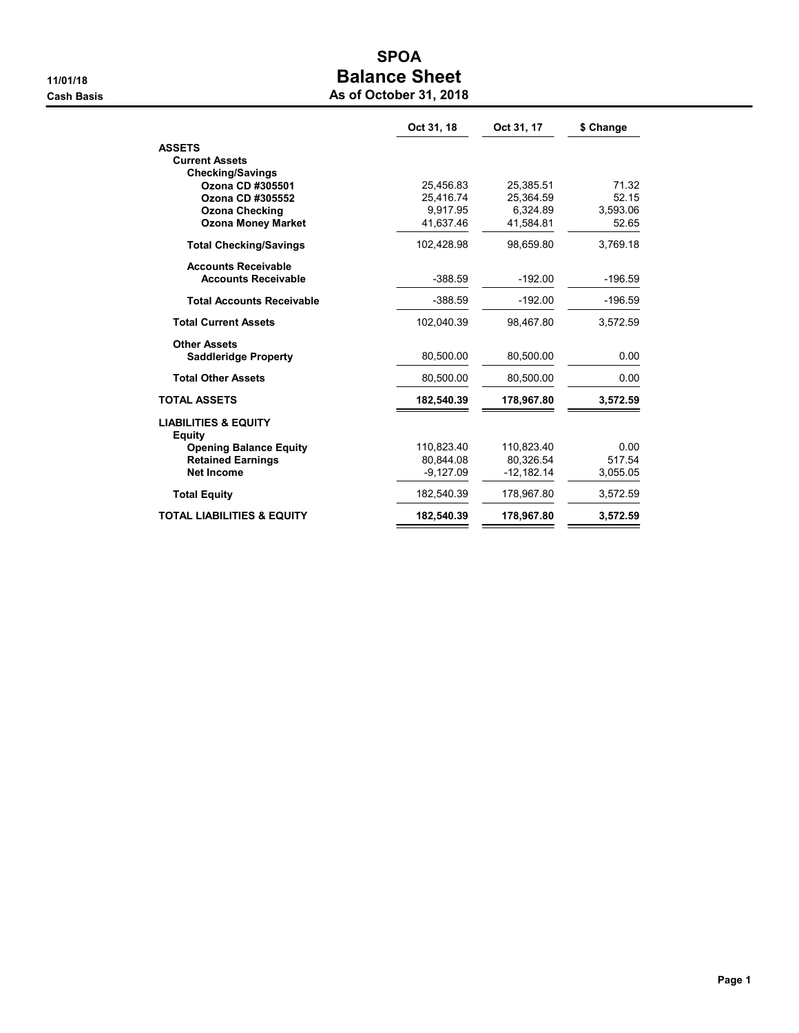## SPOA 11/01/18 Balance Sheet **Cash Basis** Cash Basis **As of October 31, 2018**

|                                                  | Oct 31, 18  | Oct 31, 17   | \$ Change |
|--------------------------------------------------|-------------|--------------|-----------|
| <b>ASSETS</b>                                    |             |              |           |
| <b>Current Assets</b>                            |             |              |           |
| <b>Checking/Savings</b>                          |             |              |           |
| Ozona CD #305501                                 | 25,456.83   | 25,385.51    | 71.32     |
| Ozona CD #305552                                 | 25.416.74   | 25.364.59    | 52.15     |
| <b>Ozona Checking</b>                            | 9.917.95    | 6,324.89     | 3,593.06  |
| <b>Ozona Money Market</b>                        | 41,637.46   | 41.584.81    | 52.65     |
| <b>Total Checking/Savings</b>                    | 102.428.98  | 98.659.80    | 3.769.18  |
| <b>Accounts Receivable</b>                       |             |              |           |
| <b>Accounts Receivable</b>                       | $-388.59$   | $-192.00$    | $-196.59$ |
| <b>Total Accounts Receivable</b>                 | $-388.59$   | $-192.00$    | $-196.59$ |
| <b>Total Current Assets</b>                      | 102,040.39  | 98,467.80    | 3,572.59  |
| <b>Other Assets</b>                              |             |              |           |
| <b>Saddleridge Property</b>                      | 80.500.00   | 80.500.00    | 0.00      |
| <b>Total Other Assets</b>                        | 80,500.00   | 80,500.00    | 0.00      |
| <b>TOTAL ASSETS</b>                              | 182,540.39  | 178,967.80   | 3,572.59  |
| <b>LIABILITIES &amp; EQUITY</b><br><b>Equity</b> |             |              |           |
| <b>Opening Balance Equity</b>                    | 110,823.40  | 110,823.40   | 0.00      |
| <b>Retained Earnings</b>                         | 80.844.08   | 80.326.54    | 517.54    |
| <b>Net Income</b>                                | $-9,127.09$ | $-12,182.14$ | 3,055.05  |
| <b>Total Equity</b>                              | 182,540.39  | 178,967.80   | 3,572.59  |
| <b>TOTAL LIABILITIES &amp; EQUITY</b>            | 182,540.39  | 178,967.80   | 3,572.59  |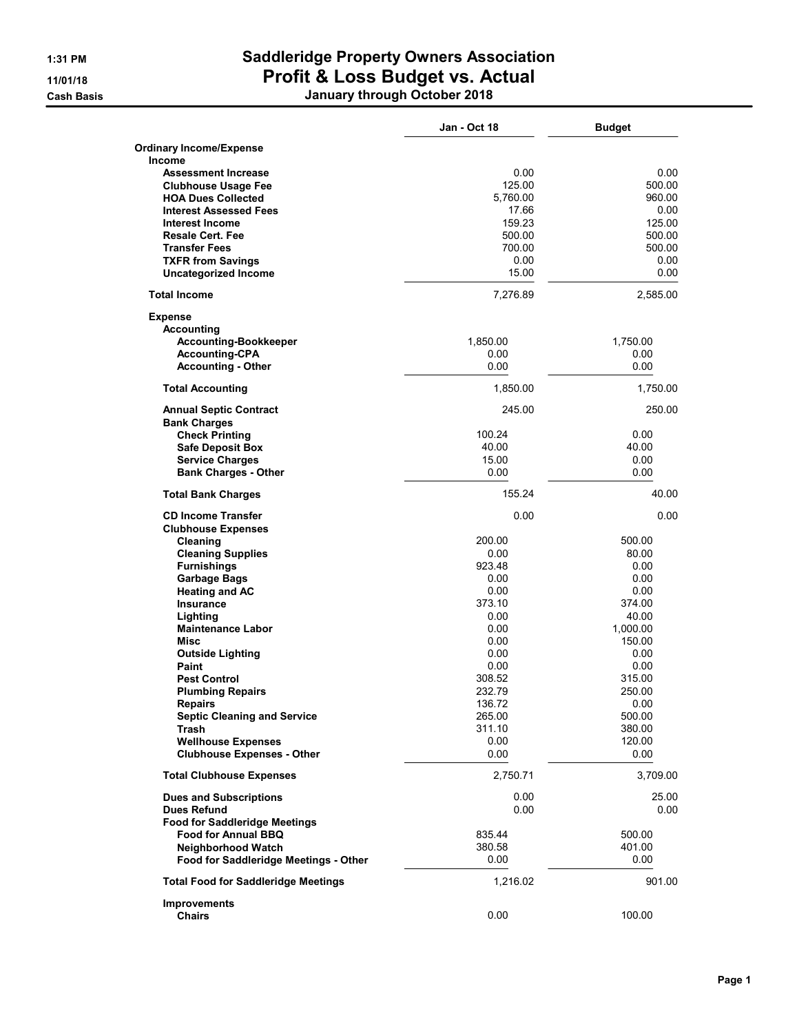**Cash Basis** 

# 1:31 PM Saddleridge Property Owners Association 11/01/18 Profit & Loss Budget vs. Actual

| January through October 2018 |  |
|------------------------------|--|
|                              |  |

|                                                          | Jan - Oct 18     | <b>Budget</b>    |
|----------------------------------------------------------|------------------|------------------|
| <b>Ordinary Income/Expense</b>                           |                  |                  |
| <b>Income</b>                                            | 0.00             | 0.00             |
| <b>Assessment Increase</b><br><b>Clubhouse Usage Fee</b> | 125.00           | 500.00           |
| <b>HOA Dues Collected</b>                                | 5,760.00         | 960.00           |
| <b>Interest Assessed Fees</b>                            | 17.66            | 0.00             |
| Interest Income                                          | 159.23           | 125.00           |
| <b>Resale Cert. Fee</b>                                  | 500.00           | 500.00           |
| <b>Transfer Fees</b>                                     | 700.00           | 500.00           |
| <b>TXFR from Savings</b>                                 | 0.00             | 0.00             |
| <b>Uncategorized Income</b>                              | 15.00            | 0.00             |
| <b>Total Income</b>                                      | 7,276.89         | 2,585.00         |
| <b>Expense</b>                                           |                  |                  |
| <b>Accounting</b>                                        |                  |                  |
| <b>Accounting-Bookkeeper</b>                             | 1,850.00         | 1,750.00         |
| <b>Accounting-CPA</b>                                    | 0.00             | 0.00             |
| <b>Accounting - Other</b>                                | 0.00             | 0.00             |
| <b>Total Accounting</b>                                  | 1,850.00         | 1,750.00         |
| <b>Annual Septic Contract</b>                            | 245.00           | 250.00           |
| <b>Bank Charges</b>                                      |                  |                  |
| <b>Check Printing</b>                                    | 100.24           | 0.00             |
| <b>Safe Deposit Box</b>                                  | 40.00            | 40.00            |
| <b>Service Charges</b>                                   | 15.00            | 0.00             |
| <b>Bank Charges - Other</b>                              | 0.00             | 0.00             |
| <b>Total Bank Charges</b>                                | 155.24           | 40.00            |
| <b>CD Income Transfer</b>                                | 0.00             | 0.00             |
| <b>Clubhouse Expenses</b>                                |                  |                  |
| Cleaning                                                 | 200.00           | 500.00           |
| <b>Cleaning Supplies</b>                                 | 0.00             | 80.00            |
| <b>Furnishings</b>                                       | 923.48           | 0.00             |
| <b>Garbage Bags</b>                                      | 0.00             | 0.00             |
| <b>Heating and AC</b>                                    | 0.00             | 0.00             |
| <b>Insurance</b>                                         | 373.10           | 374.00           |
| Lighting<br><b>Maintenance Labor</b>                     | 0.00             | 40.00            |
|                                                          | 0.00             | 1.000.00         |
| Misc                                                     | 0.00             | 150.00           |
| <b>Outside Lighting</b><br>Paint                         | 0.00             | 0.00             |
| <b>Pest Control</b>                                      | 0.00             | 0.00<br>315.00   |
|                                                          | 308.52<br>232.79 |                  |
| <b>Plumbing Repairs</b>                                  |                  | 250.00           |
| <b>Repairs</b>                                           | 136.72<br>265.00 | 0.00             |
| <b>Septic Cleaning and Service</b><br>Trash              | 311.10           | 500.00<br>380.00 |
| <b>Wellhouse Expenses</b>                                | 0.00             | 120.00           |
| <b>Clubhouse Expenses - Other</b>                        | 0.00             | 0.00             |
| <b>Total Clubhouse Expenses</b>                          | 2,750.71         | 3,709.00         |
| <b>Dues and Subscriptions</b>                            | 0.00             | 25.00            |
| <b>Dues Refund</b>                                       | 0.00             | 0.00             |
| <b>Food for Saddleridge Meetings</b>                     |                  |                  |
| <b>Food for Annual BBQ</b>                               | 835.44           | 500.00           |
| Neighborhood Watch                                       | 380.58           | 401.00           |
| Food for Saddleridge Meetings - Other                    | 0.00             | 0.00             |
| <b>Total Food for Saddleridge Meetings</b>               | 1,216.02         | 901.00           |
| <b>Improvements</b>                                      |                  |                  |
| <b>Chairs</b>                                            | 0.00             | 100.00           |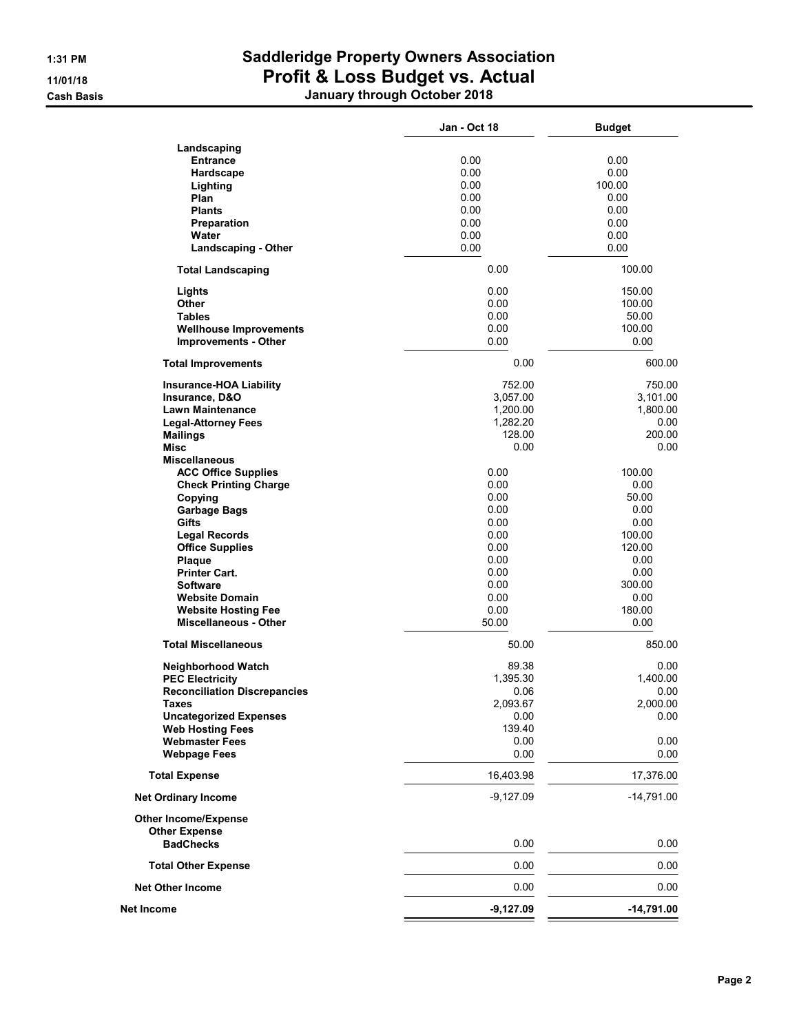## 1:31 PM Saddleridge Property Owners Association 11/01/18 Profit & Loss Budget vs. Actual Cash Basis January through October 2018

|                                           | <b>Jan - Oct 18</b> | <b>Budget</b>  |
|-------------------------------------------|---------------------|----------------|
| Landscaping                               |                     |                |
| <b>Entrance</b>                           | 0.00                | 0.00           |
| Hardscape                                 | 0.00                | 0.00           |
| Lighting                                  | 0.00                | 100.00         |
| Plan                                      | 0.00                | 0.00           |
| <b>Plants</b>                             | 0.00                | 0.00           |
| Preparation                               | 0.00                | 0.00           |
| Water                                     | 0.00                | 0.00           |
| <b>Landscaping - Other</b>                | 0.00                | 0.00           |
|                                           |                     |                |
| <b>Total Landscaping</b>                  | 0.00                | 100.00         |
| Lights                                    | 0.00                | 150.00         |
| Other                                     | 0.00                | 100.00         |
| <b>Tables</b>                             | 0.00                | 50.00          |
| <b>Wellhouse Improvements</b>             | 0.00                | 100.00         |
| <b>Improvements - Other</b>               | 0.00                | 0.00           |
| <b>Total Improvements</b>                 | 0.00                | 600.00         |
| <b>Insurance-HOA Liability</b>            | 752.00              | 750.00         |
| Insurance, D&O<br><b>Lawn Maintenance</b> | 3,057.00            | 3,101.00       |
|                                           | 1,200.00            | 1,800.00       |
| <b>Legal-Attorney Fees</b>                | 1,282.20            | 0.00<br>200.00 |
| <b>Mailings</b>                           | 128.00              |                |
| Misc                                      | 0.00                | 0.00           |
| <b>Miscellaneous</b>                      |                     |                |
| <b>ACC Office Supplies</b>                | 0.00                | 100.00         |
| <b>Check Printing Charge</b>              | 0.00                | 0.00           |
| Copying                                   | 0.00                | 50.00          |
| <b>Garbage Bags</b>                       | 0.00                | 0.00           |
| Gifts                                     | 0.00                | 0.00           |
| <b>Legal Records</b>                      | 0.00                | 100.00         |
| <b>Office Supplies</b>                    | 0.00                | 120.00         |
| Plaque                                    | 0.00                | 0.00           |
| <b>Printer Cart.</b>                      | 0.00                | 0.00           |
| <b>Software</b>                           | 0.00                | 300.00         |
| <b>Website Domain</b>                     | 0.00                | 0.00           |
| <b>Website Hosting Fee</b>                | 0.00                | 180.00         |
| <b>Miscellaneous - Other</b>              | 50.00               | 0.00           |
| <b>Total Miscellaneous</b>                | 50.00               | 850.00         |
| Neighborhood Watch                        | 89.38               | 0.00           |
| <b>PEC Electricity</b>                    | 1,395.30            | 1,400.00       |
| <b>Reconciliation Discrepancies</b>       | 0.06                | 0.00           |
| Taxes                                     | 2,093.67            | 2,000.00       |
| <b>Uncategorized Expenses</b>             | 0.00                | 0.00           |
| <b>Web Hosting Fees</b>                   | 139.40              |                |
| <b>Webmaster Fees</b>                     | 0.00                | 0.00           |
| <b>Webpage Fees</b>                       | 0.00                | 0.00           |
| <b>Total Expense</b>                      | 16,403.98           | 17,376.00      |
| <b>Net Ordinary Income</b>                | $-9,127.09$         | $-14,791.00$   |
| <b>Other Income/Expense</b>               |                     |                |
| <b>Other Expense</b><br><b>BadChecks</b>  | 0.00                | 0.00           |
| <b>Total Other Expense</b>                | 0.00                | 0.00           |
| <b>Net Other Income</b>                   | 0.00                | 0.00           |
| <b>Net Income</b>                         | $-9,127.09$         | $-14,791.00$   |
|                                           |                     |                |